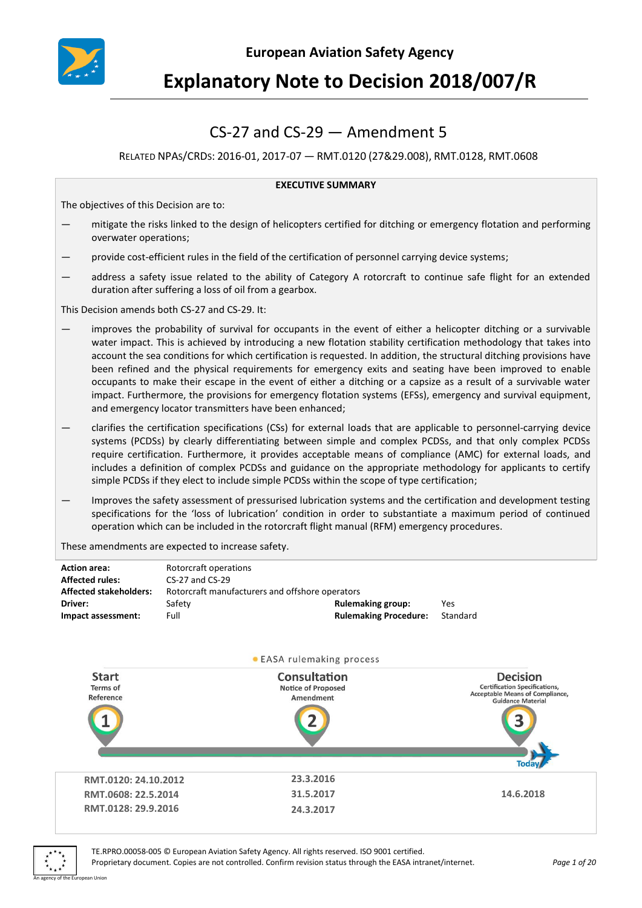

# **Explanatory Note to Decision 2018/007/R**

## CS-27 and CS-29 — Amendment 5

## RELATED NPAS/CRDS: 2016-01, 2017-07 — RMT.0120 (27&29.008), RMT.0128, RMT.0608

#### **EXECUTIVE SUMMARY**

The objectives of this Decision are to:

- mitigate the risks linked to the design of helicopters certified for ditching or emergency flotation and performing overwater operations;
- provide cost-efficient rules in the field of the certification of personnel carrying device systems;
- address a safety issue related to the ability of Category A rotorcraft to continue safe flight for an extended duration after suffering a loss of oil from a gearbox.

This Decision amends both CS-27 and CS-29. It:

- improves the probability of survival for occupants in the event of either a helicopter ditching or a survivable water impact. This is achieved by introducing a new flotation stability certification methodology that takes into account the sea conditions for which certification is requested. In addition, the structural ditching provisions have been refined and the physical requirements for emergency exits and seating have been improved to enable occupants to make their escape in the event of either a ditching or a capsize as a result of a survivable water impact. Furthermore, the provisions for emergency flotation systems (EFSs), emergency and survival equipment, and emergency locator transmitters have been enhanced;
- clarifies the certification specifications (CSs) for external loads that are applicable to personnel-carrying device systems (PCDSs) by clearly differentiating between simple and complex PCDSs, and that only complex PCDSs require certification. Furthermore, it provides acceptable means of compliance (AMC) for external loads, and includes a definition of complex PCDSs and guidance on the appropriate methodology for applicants to certify simple PCDSs if they elect to include simple PCDSs within the scope of type certification;
- Improves the safety assessment of pressurised lubrication systems and the certification and development testing specifications for the 'loss of lubrication' condition in order to substantiate a maximum period of continued operation which can be included in the rotorcraft flight manual (RFM) emergency procedures.

These amendments are expected to increase safety.

| <b>Action area:</b><br><b>Affected rules:</b><br><b>Affected stakeholders:</b><br>Driver:<br>Impact assessment: | Rotorcraft operations<br>CS-27 and CS-29<br>Safety<br>Full | Rotorcraft manufacturers and offshore operators<br><b>Rulemaking group:</b><br><b>Rulemaking Procedure:</b> | Yes<br>Standard                                                                                                        |
|-----------------------------------------------------------------------------------------------------------------|------------------------------------------------------------|-------------------------------------------------------------------------------------------------------------|------------------------------------------------------------------------------------------------------------------------|
|                                                                                                                 |                                                            | • EASA rulemaking process                                                                                   |                                                                                                                        |
| <b>Start</b><br><b>Terms</b> of<br>Reference                                                                    |                                                            | Consultation<br><b>Notice of Proposed</b><br>Amendment                                                      | <b>Decision</b><br><b>Certification Specifications,</b><br>Acceptable Means of Compliance,<br><b>Guidance Material</b> |
|                                                                                                                 |                                                            |                                                                                                             | Toda                                                                                                                   |
| RMT.0120: 24.10.2012                                                                                            |                                                            | 23.3.2016                                                                                                   |                                                                                                                        |
| RMT.0608: 22.5.2014                                                                                             |                                                            | 31.5.2017                                                                                                   | 14.6.2018                                                                                                              |
| RMT.0128: 29.9.2016                                                                                             |                                                            | 24.3.2017                                                                                                   |                                                                                                                        |



TE.RPRO.00058-005 © European Aviation Safety Agency. All rights reserved. ISO 9001 certified.

Proprietary document. Copies are not controlled. Confirm revision status through the EASA intranet/internet. *Page 1 of 20* An agency of the European Union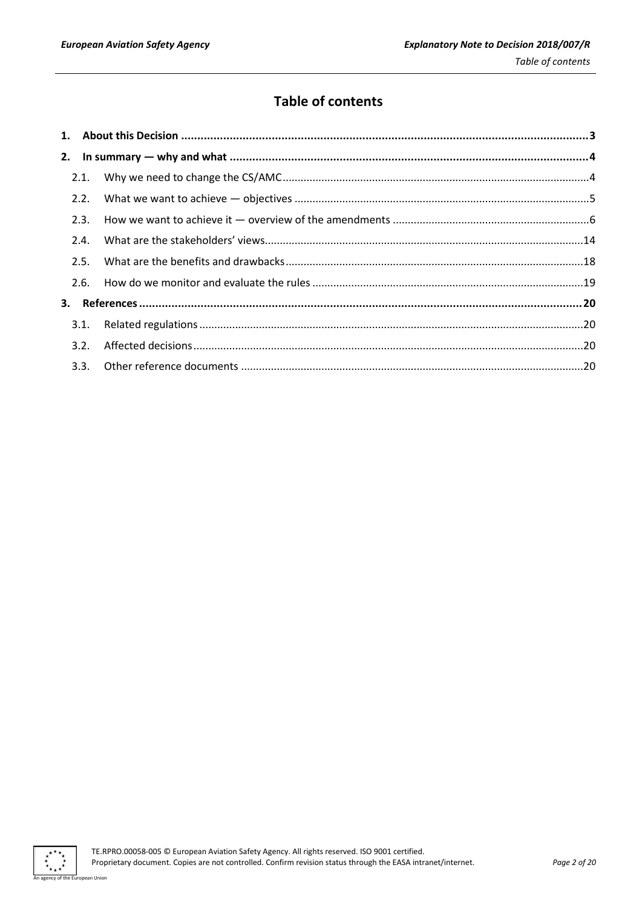## **Table of contents**

| 2.1. |  |
|------|--|
| 2.2. |  |
| 2.3. |  |
| 2.4. |  |
| 2.5. |  |
| 2.6. |  |
|      |  |
| 3.1. |  |
| 3.2. |  |
|      |  |

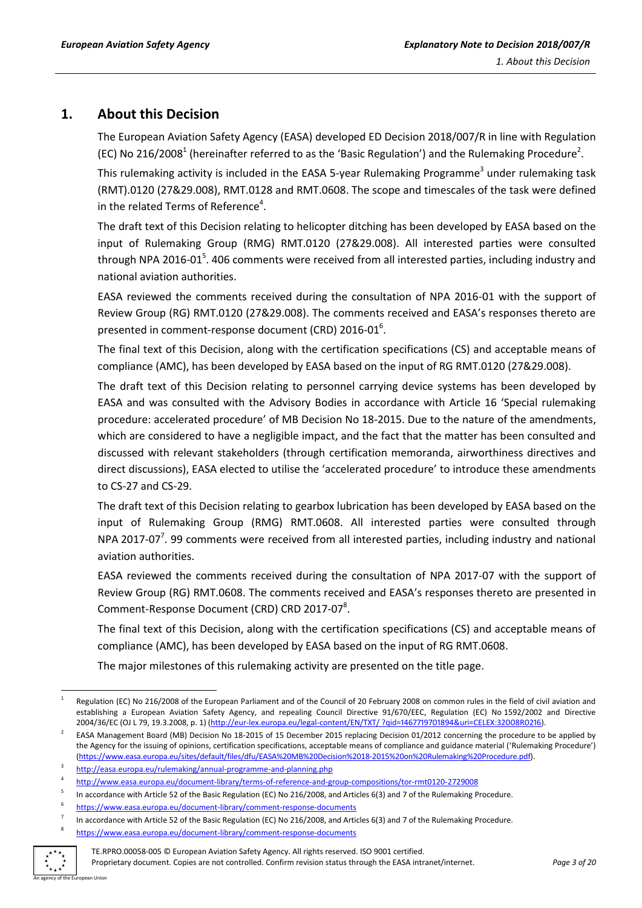## <span id="page-2-0"></span>**1. About this Decision**

The European Aviation Safety Agency (EASA) developed ED Decision 2018/007/R in line with Regulation (EC) No 216/2008<sup>1</sup> (hereinafter referred to as the 'Basic Regulation') and the Rulemaking Procedure<sup>2</sup>.

This rulemaking activity is included in the EASA 5-year Rulemaking Programme<sup>3</sup> under rulemaking task (RMT).0120 (27&29.008), RMT.0128 and RMT.0608. The scope and timescales of the task were defined in the related Terms of Reference<sup>4</sup>.

The draft text of this Decision relating to helicopter ditching has been developed by EASA based on the input of Rulemaking Group (RMG) RMT.0120 (27&29.008). All interested parties were consulted through NPA 2016-01<sup>5</sup>. 406 comments were received from all interested parties, including industry and national aviation authorities.

EASA reviewed the comments received during the consultation of NPA 2016-01 with the support of Review Group (RG) RMT.0120 (27&29.008). The comments received and EASA's responses thereto are presented in comment-response document (CRD) 2016-01 $^6$ .

The final text of this Decision, along with the certification specifications (CS) and acceptable means of compliance (AMC), has been developed by EASA based on the input of RG RMT.0120 (27&29.008).

The draft text of this Decision relating to personnel carrying device systems has been developed by EASA and was consulted with the Advisory Bodies in accordance with Article 16 'Special rulemaking procedure: accelerated procedure' of MB Decision No 18-2015. Due to the nature of the amendments, which are considered to have a negligible impact, and the fact that the matter has been consulted and discussed with relevant stakeholders (through certification memoranda, airworthiness directives and direct discussions), EASA elected to utilise the 'accelerated procedure' to introduce these amendments to CS-27 and CS-29.

The draft text of this Decision relating to gearbox lubrication has been developed by EASA based on the input of Rulemaking Group (RMG) RMT.0608. All interested parties were consulted through NPA 2017-07<sup>7</sup>. 99 comments were received from all interested parties, including industry and national aviation authorities.

EASA reviewed the comments received during the consultation of NPA 2017-07 with the support of Review Group (RG) RMT.0608. The comments received and EASA's responses thereto are presented in Comment-Response Document (CRD) CRD 2017-07<sup>8</sup>.

The final text of this Decision, along with the certification specifications (CS) and acceptable means of compliance (AMC), has been developed by EASA based on the input of RG RMT.0608.

The major milestones of this rulemaking activity are presented on the title page.

<https://www.easa.europa.eu/document-library/comment-response-documents>



5

8

Proprietary document. Copies are not controlled. Confirm revision status through the EASA intranet/internet. *Page 3 of 20* An agency of the European Union

**<sup>.</sup>** 1 Regulation (EC) No 216/2008 of the European Parliament and of the Council of 20 February 2008 on common rules in the field of civil aviation and establishing a European Aviation Safety Agency, and repealing Council Directive 91/670/EEC, Regulation (EC) No 1592/2002 and Directive 2004/36/EC (OJ L 79, 19.3.2008, p. 1) (http://eur-lex.europa.eu/legal-[content/EN/TXT/ ?qid=1467719701894&uri=CELEX:32008R0216\)](http://eur-lex.europa.eu/legal-content/EN/TXT/%20?qid=1467719701894&uri=CELEX:32008R0216).

<sup>2</sup> EASA Management Board (MB) Decision No 18-2015 of 15 December 2015 replacing Decision 01/2012 concerning the procedure to be applied by the Agency for the issuing of opinions, certification specifications, acceptable means of compliance and guidance material ('Rulemaking Procedure') [\(https://www.easa.europa.eu/sites/default/files/dfu/EASA%20MB%20Decision%2018-2015%20on%20Rulemaking%20Procedure.pdf\)](https://www.easa.europa.eu/sites/default/files/dfu/EASA%20MB%20Decision%2018-2015%20on%20Rulemaking%20Procedure.pdf).

<sup>3</sup> <http://easa.europa.eu/rulemaking/annual-programme-and-planning.php>

<sup>4</sup> <http://www.easa.europa.eu/document-library/terms-of-reference-and-group-compositions/tor-rmt0120-2729008>

In accordance with Article 52 of the Basic Regulation (EC) No 216/2008, and Articles 6(3) and 7 of the Rulemaking Procedure.

<sup>6</sup> <https://www.easa.europa.eu/document-library/comment-response-documents>

<sup>7</sup> In accordance with Article 52 of the Basic Regulation (EC) No 216/2008, and Articles 6(3) and 7 of the Rulemaking Procedure.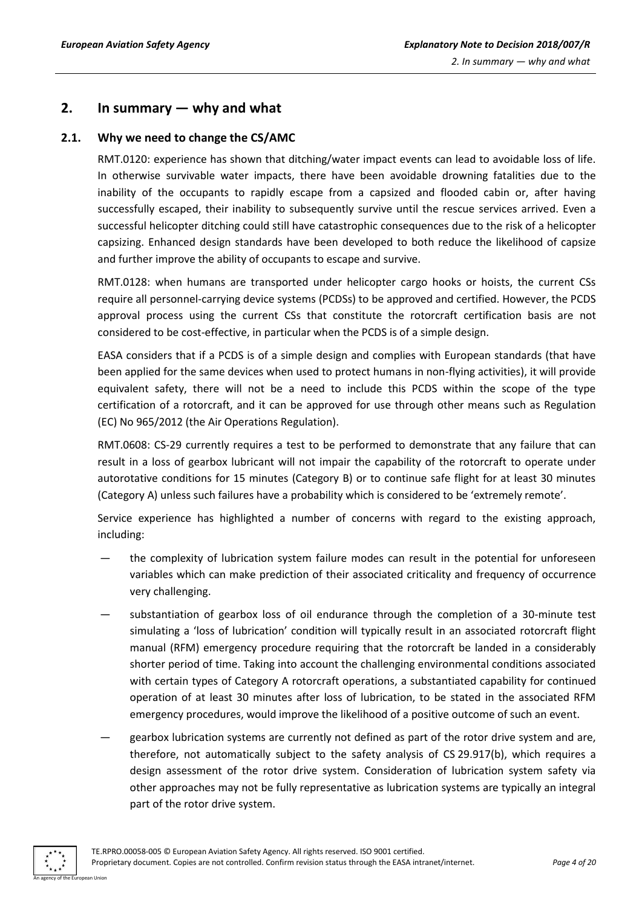## <span id="page-3-0"></span>**2. In summary — why and what**

## <span id="page-3-1"></span>**2.1. Why we need to change the CS/AMC**

RMT.0120: experience has shown that ditching/water impact events can lead to avoidable loss of life. In otherwise survivable water impacts, there have been avoidable drowning fatalities due to the inability of the occupants to rapidly escape from a capsized and flooded cabin or, after having successfully escaped, their inability to subsequently survive until the rescue services arrived. Even a successful helicopter ditching could still have catastrophic consequences due to the risk of a helicopter capsizing. Enhanced design standards have been developed to both reduce the likelihood of capsize and further improve the ability of occupants to escape and survive.

RMT.0128: when humans are transported under helicopter cargo hooks or hoists, the current CSs require all personnel-carrying device systems (PCDSs) to be approved and certified. However, the PCDS approval process using the current CSs that constitute the rotorcraft certification basis are not considered to be cost-effective, in particular when the PCDS is of a simple design.

EASA considers that if a PCDS is of a simple design and complies with European standards (that have been applied for the same devices when used to protect humans in non-flying activities), it will provide equivalent safety, there will not be a need to include this PCDS within the scope of the type certification of a rotorcraft, and it can be approved for use through other means such as Regulation (EC) No 965/2012 (the Air Operations Regulation).

RMT.0608: CS-29 currently requires a test to be performed to demonstrate that any failure that can result in a loss of gearbox lubricant will not impair the capability of the rotorcraft to operate under autorotative conditions for 15 minutes (Category B) or to continue safe flight for at least 30 minutes (Category A) unless such failures have a probability which is considered to be 'extremely remote'.

Service experience has highlighted a number of concerns with regard to the existing approach, including:

- the complexity of lubrication system failure modes can result in the potential for unforeseen variables which can make prediction of their associated criticality and frequency of occurrence very challenging.
- substantiation of gearbox loss of oil endurance through the completion of a 30-minute test simulating a 'loss of lubrication' condition will typically result in an associated rotorcraft flight manual (RFM) emergency procedure requiring that the rotorcraft be landed in a considerably shorter period of time. Taking into account the challenging environmental conditions associated with certain types of Category A rotorcraft operations, a substantiated capability for continued operation of at least 30 minutes after loss of lubrication, to be stated in the associated RFM emergency procedures, would improve the likelihood of a positive outcome of such an event.
- gearbox lubrication systems are currently not defined as part of the rotor drive system and are, therefore, not automatically subject to the safety analysis of CS 29.917(b), which requires a design assessment of the rotor drive system. Consideration of lubrication system safety via other approaches may not be fully representative as lubrication systems are typically an integral part of the rotor drive system.

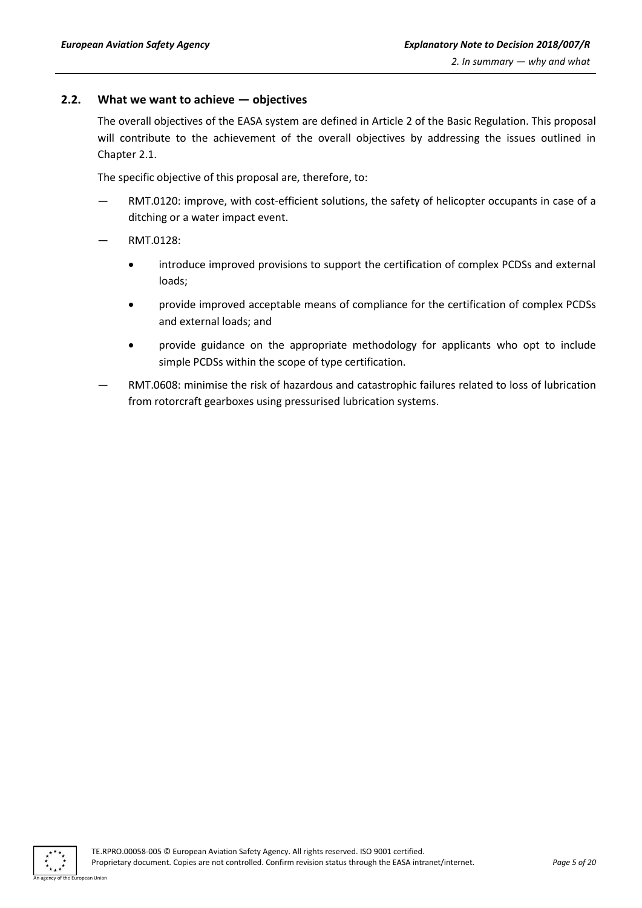### <span id="page-4-0"></span>**2.2. What we want to achieve — objectives**

The overall objectives of the EASA system are defined in Article 2 of the Basic Regulation. This proposal will contribute to the achievement of the overall objectives by addressing the issues outlined in Chapter 2.1.

The specific objective of this proposal are, therefore, to:

- RMT.0120: improve, with cost-efficient solutions, the safety of helicopter occupants in case of a ditching or a water impact event.
- RMT.0128:
	- introduce improved provisions to support the certification of complex PCDSs and external loads;
	- provide improved acceptable means of compliance for the certification of complex PCDSs and external loads; and
	- provide guidance on the appropriate methodology for applicants who opt to include simple PCDSs within the scope of type certification.
- RMT.0608: minimise the risk of hazardous and catastrophic failures related to loss of lubrication from rotorcraft gearboxes using pressurised lubrication systems.

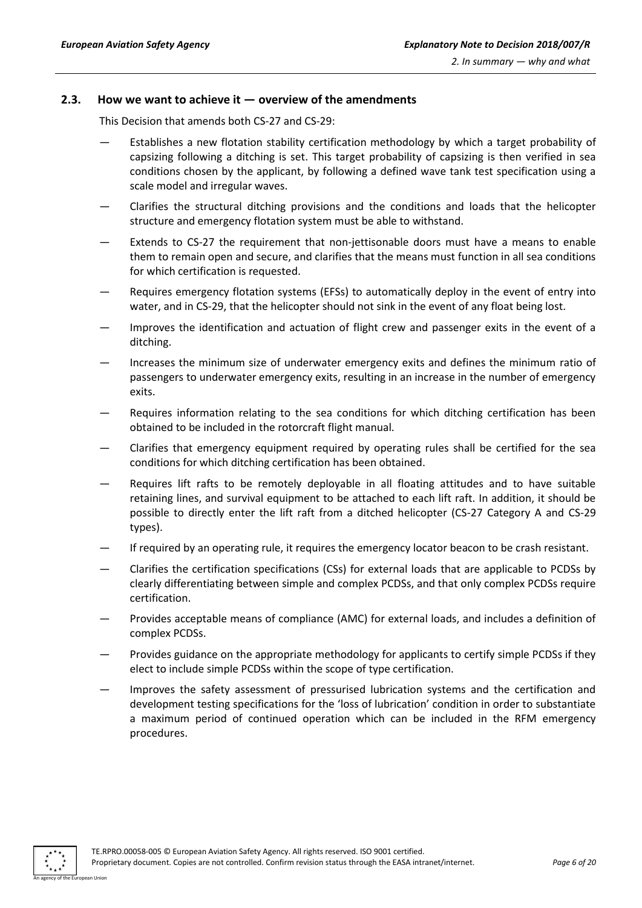#### <span id="page-5-0"></span>**2.3. How we want to achieve it — overview of the amendments**

This Decision that amends both CS-27 and CS-29:

- Establishes a new flotation stability certification methodology by which a target probability of capsizing following a ditching is set. This target probability of capsizing is then verified in sea conditions chosen by the applicant, by following a defined wave tank test specification using a scale model and irregular waves.
- Clarifies the structural ditching provisions and the conditions and loads that the helicopter structure and emergency flotation system must be able to withstand.
- Extends to CS-27 the requirement that non-jettisonable doors must have a means to enable them to remain open and secure, and clarifies that the means must function in all sea conditions for which certification is requested.
- Requires emergency flotation systems (EFSs) to automatically deploy in the event of entry into water, and in CS-29, that the helicopter should not sink in the event of any float being lost.
- Improves the identification and actuation of flight crew and passenger exits in the event of a ditching.
- Increases the minimum size of underwater emergency exits and defines the minimum ratio of passengers to underwater emergency exits, resulting in an increase in the number of emergency exits.
- Requires information relating to the sea conditions for which ditching certification has been obtained to be included in the rotorcraft flight manual.
- Clarifies that emergency equipment required by operating rules shall be certified for the sea conditions for which ditching certification has been obtained.
- Requires lift rafts to be remotely deployable in all floating attitudes and to have suitable retaining lines, and survival equipment to be attached to each lift raft. In addition, it should be possible to directly enter the lift raft from a ditched helicopter (CS-27 Category A and CS-29 types).
- If required by an operating rule, it requires the emergency locator beacon to be crash resistant.
- Clarifies the certification specifications (CSs) for external loads that are applicable to PCDSs by clearly differentiating between simple and complex PCDSs, and that only complex PCDSs require certification.
- Provides acceptable means of compliance (AMC) for external loads, and includes a definition of complex PCDSs.
- Provides guidance on the appropriate methodology for applicants to certify simple PCDSs if they elect to include simple PCDSs within the scope of type certification.
- Improves the safety assessment of pressurised lubrication systems and the certification and development testing specifications for the 'loss of lubrication' condition in order to substantiate a maximum period of continued operation which can be included in the RFM emergency procedures.

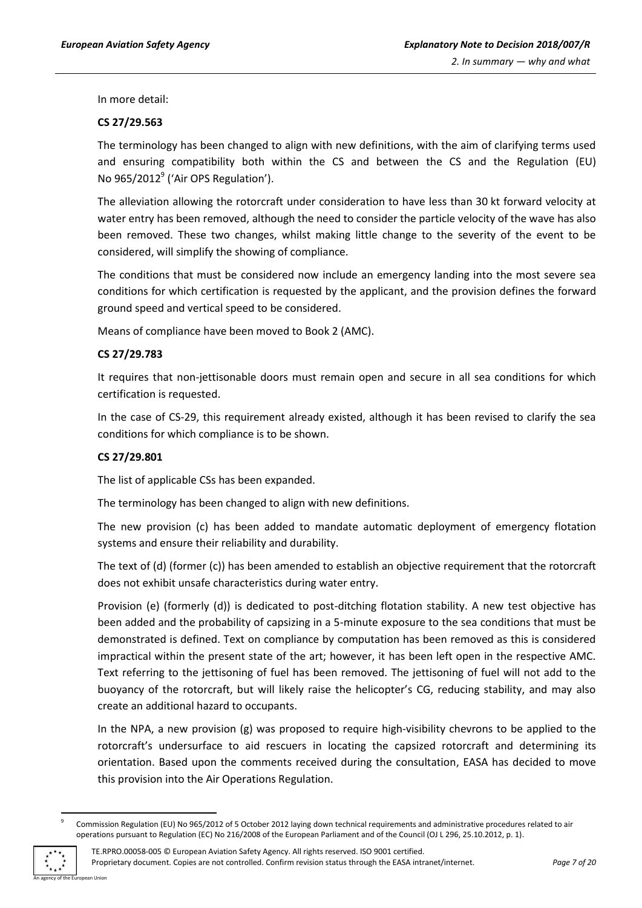In more detail:

#### **CS 27/29.563**

The terminology has been changed to align with new definitions, with the aim of clarifying terms used and ensuring compatibility both within the CS and between the CS and the Regulation (EU) No 965/2012<sup>9</sup> ('Air OPS Regulation').

The alleviation allowing the rotorcraft under consideration to have less than 30 kt forward velocity at water entry has been removed, although the need to consider the particle velocity of the wave has also been removed. These two changes, whilst making little change to the severity of the event to be considered, will simplify the showing of compliance.

The conditions that must be considered now include an emergency landing into the most severe sea conditions for which certification is requested by the applicant, and the provision defines the forward ground speed and vertical speed to be considered.

Means of compliance have been moved to Book 2 (AMC).

#### **CS 27/29.783**

It requires that non-jettisonable doors must remain open and secure in all sea conditions for which certification is requested.

In the case of CS-29, this requirement already existed, although it has been revised to clarify the sea conditions for which compliance is to be shown.

#### **CS 27/29.801**

The list of applicable CSs has been expanded.

The terminology has been changed to align with new definitions.

The new provision (c) has been added to mandate automatic deployment of emergency flotation systems and ensure their reliability and durability.

The text of (d) (former (c)) has been amended to establish an objective requirement that the rotorcraft does not exhibit unsafe characteristics during water entry.

Provision (e) (formerly (d)) is dedicated to post-ditching flotation stability. A new test objective has been added and the probability of capsizing in a 5-minute exposure to the sea conditions that must be demonstrated is defined. Text on compliance by computation has been removed as this is considered impractical within the present state of the art; however, it has been left open in the respective AMC. Text referring to the jettisoning of fuel has been removed. The jettisoning of fuel will not add to the buoyancy of the rotorcraft, but will likely raise the helicopter's CG, reducing stability, and may also create an additional hazard to occupants.

In the NPA, a new provision (g) was proposed to require high-visibility chevrons to be applied to the rotorcraft's undersurface to aid rescuers in locating the capsized rotorcraft and determining its orientation. Based upon the comments received during the consultation, EASA has decided to move this provision into the Air Operations Regulation.

<sup>9</sup> Commission Regulation (EU) No 965/2012 of 5 October 2012 laying down technical requirements and administrative procedures related to air operations pursuant to Regulation (EC) No 216/2008 of the European Parliament and of the Council (OJ L 296, 25.10.2012, p. 1).



**.**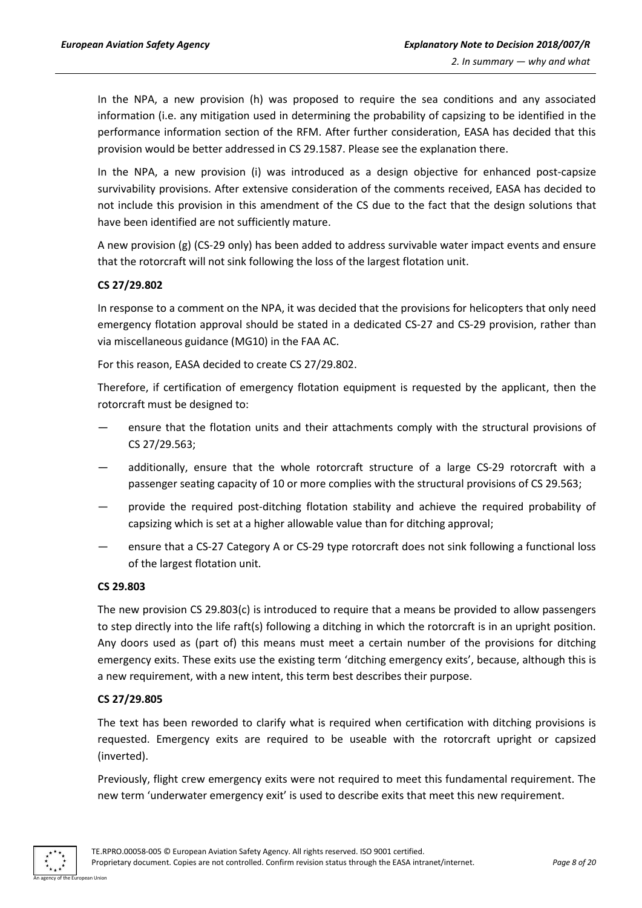In the NPA, a new provision (h) was proposed to require the sea conditions and any associated information (i.e. any mitigation used in determining the probability of capsizing to be identified in the performance information section of the RFM. After further consideration, EASA has decided that this provision would be better addressed in CS 29.1587. Please see the explanation there.

In the NPA, a new provision (i) was introduced as a design objective for enhanced post-capsize survivability provisions. After extensive consideration of the comments received, EASA has decided to not include this provision in this amendment of the CS due to the fact that the design solutions that have been identified are not sufficiently mature.

A new provision (g) (CS-29 only) has been added to address survivable water impact events and ensure that the rotorcraft will not sink following the loss of the largest flotation unit.

#### **CS 27/29.802**

In response to a comment on the NPA, it was decided that the provisions for helicopters that only need emergency flotation approval should be stated in a dedicated CS-27 and CS-29 provision, rather than via miscellaneous guidance (MG10) in the FAA AC.

For this reason, EASA decided to create CS 27/29.802.

Therefore, if certification of emergency flotation equipment is requested by the applicant, then the rotorcraft must be designed to:

- ensure that the flotation units and their attachments comply with the structural provisions of CS 27/29.563;
- additionally, ensure that the whole rotorcraft structure of a large CS-29 rotorcraft with a passenger seating capacity of 10 or more complies with the structural provisions of CS 29.563;
- provide the required post-ditching flotation stability and achieve the required probability of capsizing which is set at a higher allowable value than for ditching approval;
- ensure that a CS-27 Category A or CS-29 type rotorcraft does not sink following a functional loss of the largest flotation unit.

#### **CS 29.803**

The new provision CS 29.803(c) is introduced to require that a means be provided to allow passengers to step directly into the life raft(s) following a ditching in which the rotorcraft is in an upright position. Any doors used as (part of) this means must meet a certain number of the provisions for ditching emergency exits. These exits use the existing term 'ditching emergency exits', because, although this is a new requirement, with a new intent, this term best describes their purpose.

#### **CS 27/29.805**

The text has been reworded to clarify what is required when certification with ditching provisions is requested. Emergency exits are required to be useable with the rotorcraft upright or capsized (inverted).

Previously, flight crew emergency exits were not required to meet this fundamental requirement. The new term 'underwater emergency exit' is used to describe exits that meet this new requirement.

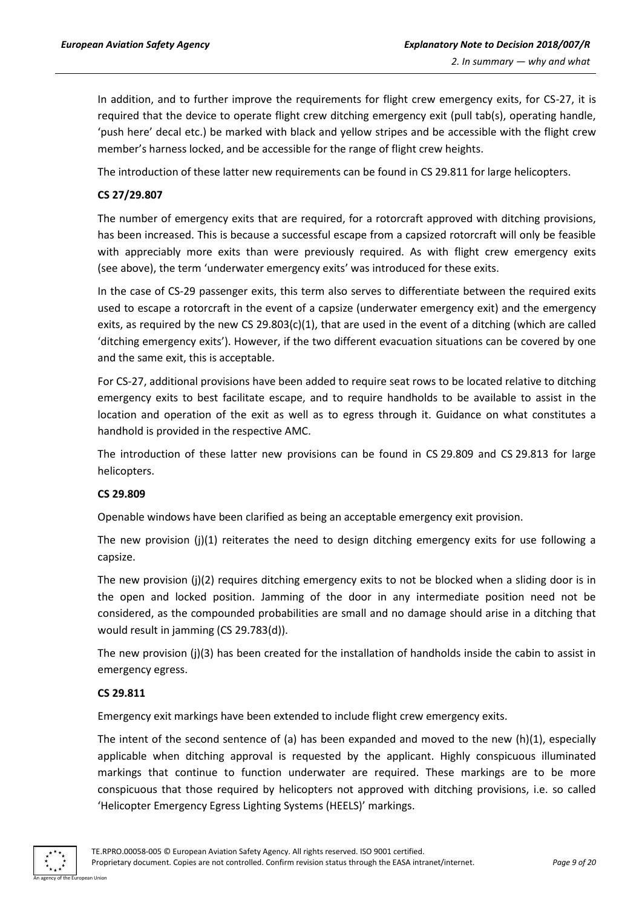In addition, and to further improve the requirements for flight crew emergency exits, for CS-27, it is required that the device to operate flight crew ditching emergency exit (pull tab(s), operating handle, 'push here' decal etc.) be marked with black and yellow stripes and be accessible with the flight crew member's harness locked, and be accessible for the range of flight crew heights.

The introduction of these latter new requirements can be found in CS 29.811 for large helicopters.

#### **CS 27/29.807**

The number of emergency exits that are required, for a rotorcraft approved with ditching provisions, has been increased. This is because a successful escape from a capsized rotorcraft will only be feasible with appreciably more exits than were previously required. As with flight crew emergency exits (see above), the term 'underwater emergency exits' was introduced for these exits.

In the case of CS-29 passenger exits, this term also serves to differentiate between the required exits used to escape a rotorcraft in the event of a capsize (underwater emergency exit) and the emergency exits, as required by the new CS 29.803(c)(1), that are used in the event of a ditching (which are called 'ditching emergency exits'). However, if the two different evacuation situations can be covered by one and the same exit, this is acceptable.

For CS-27, additional provisions have been added to require seat rows to be located relative to ditching emergency exits to best facilitate escape, and to require handholds to be available to assist in the location and operation of the exit as well as to egress through it. Guidance on what constitutes a handhold is provided in the respective AMC.

The introduction of these latter new provisions can be found in CS 29.809 and CS 29.813 for large helicopters.

#### **CS 29.809**

Openable windows have been clarified as being an acceptable emergency exit provision.

The new provision (j)(1) reiterates the need to design ditching emergency exits for use following a capsize.

The new provision (j)(2) requires ditching emergency exits to not be blocked when a sliding door is in the open and locked position. Jamming of the door in any intermediate position need not be considered, as the compounded probabilities are small and no damage should arise in a ditching that would result in jamming (CS 29.783(d)).

The new provision (j)(3) has been created for the installation of handholds inside the cabin to assist in emergency egress.

## **CS 29.811**

Emergency exit markings have been extended to include flight crew emergency exits.

The intent of the second sentence of (a) has been expanded and moved to the new (h)(1), especially applicable when ditching approval is requested by the applicant. Highly conspicuous illuminated markings that continue to function underwater are required. These markings are to be more conspicuous that those required by helicopters not approved with ditching provisions, i.e. so called 'Helicopter Emergency Egress Lighting Systems (HEELS)' markings.

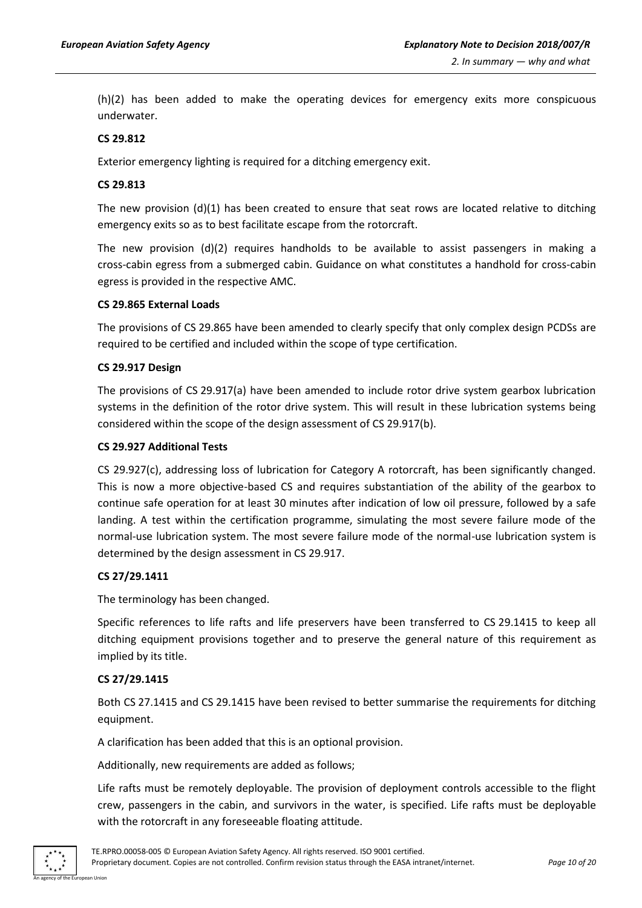(h)(2) has been added to make the operating devices for emergency exits more conspicuous underwater.

#### **CS 29.812**

Exterior emergency lighting is required for a ditching emergency exit.

#### **CS 29.813**

The new provision  $(d)(1)$  has been created to ensure that seat rows are located relative to ditching emergency exits so as to best facilitate escape from the rotorcraft.

The new provision (d)(2) requires handholds to be available to assist passengers in making a cross-cabin egress from a submerged cabin. Guidance on what constitutes a handhold for cross-cabin egress is provided in the respective AMC.

#### **CS 29.865 External Loads**

The provisions of CS 29.865 have been amended to clearly specify that only complex design PCDSs are required to be certified and included within the scope of type certification.

#### **CS 29.917 Design**

The provisions of CS 29.917(a) have been amended to include rotor drive system gearbox lubrication systems in the definition of the rotor drive system. This will result in these lubrication systems being considered within the scope of the design assessment of CS 29.917(b).

#### **CS 29.927 Additional Tests**

CS 29.927(c), addressing loss of lubrication for Category A rotorcraft, has been significantly changed. This is now a more objective-based CS and requires substantiation of the ability of the gearbox to continue safe operation for at least 30 minutes after indication of low oil pressure, followed by a safe landing. A test within the certification programme, simulating the most severe failure mode of the normal-use lubrication system. The most severe failure mode of the normal-use lubrication system is determined by the design assessment in CS 29.917.

#### **CS 27/29.1411**

The terminology has been changed.

Specific references to life rafts and life preservers have been transferred to CS 29.1415 to keep all ditching equipment provisions together and to preserve the general nature of this requirement as implied by its title.

#### **CS 27/29.1415**

Both CS 27.1415 and CS 29.1415 have been revised to better summarise the requirements for ditching equipment.

A clarification has been added that this is an optional provision.

Additionally, new requirements are added as follows;

Life rafts must be remotely deployable. The provision of deployment controls accessible to the flight crew, passengers in the cabin, and survivors in the water, is specified. Life rafts must be deployable with the rotorcraft in any foreseeable floating attitude.

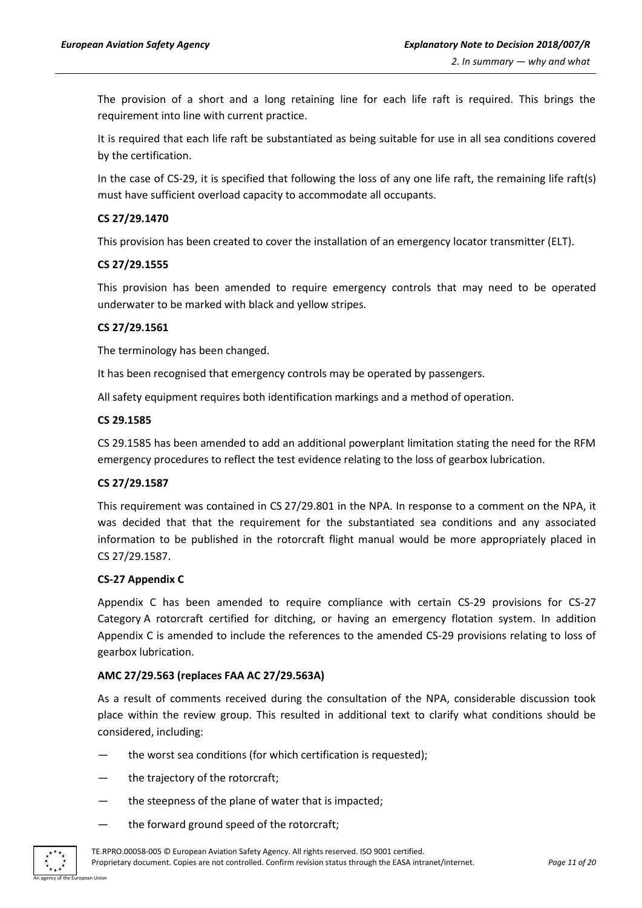The provision of a short and a long retaining line for each life raft is required. This brings the requirement into line with current practice.

It is required that each life raft be substantiated as being suitable for use in all sea conditions covered by the certification.

In the case of CS-29, it is specified that following the loss of any one life raft, the remaining life raft(s) must have sufficient overload capacity to accommodate all occupants.

#### **CS 27/29.1470**

This provision has been created to cover the installation of an emergency locator transmitter (ELT).

#### **CS 27/29.1555**

This provision has been amended to require emergency controls that may need to be operated underwater to be marked with black and yellow stripes.

#### **CS 27/29.1561**

The terminology has been changed.

It has been recognised that emergency controls may be operated by passengers.

All safety equipment requires both identification markings and a method of operation.

#### **CS 29.1585**

CS 29.1585 has been amended to add an additional powerplant limitation stating the need for the RFM emergency procedures to reflect the test evidence relating to the loss of gearbox lubrication.

#### **CS 27/29.1587**

This requirement was contained in CS 27/29.801 in the NPA. In response to a comment on the NPA, it was decided that that the requirement for the substantiated sea conditions and any associated information to be published in the rotorcraft flight manual would be more appropriately placed in CS 27/29.1587.

#### **CS-27 Appendix C**

Appendix C has been amended to require compliance with certain CS-29 provisions for CS-27 Category A rotorcraft certified for ditching, or having an emergency flotation system. In addition Appendix C is amended to include the references to the amended CS-29 provisions relating to loss of gearbox lubrication.

#### **AMC 27/29.563 (replaces FAA AC 27/29.563A)**

As a result of comments received during the consultation of the NPA, considerable discussion took place within the review group. This resulted in additional text to clarify what conditions should be considered, including:

- the worst sea conditions (for which certification is requested);
- the trajectory of the rotorcraft;
- the steepness of the plane of water that is impacted;
- the forward ground speed of the rotorcraft;

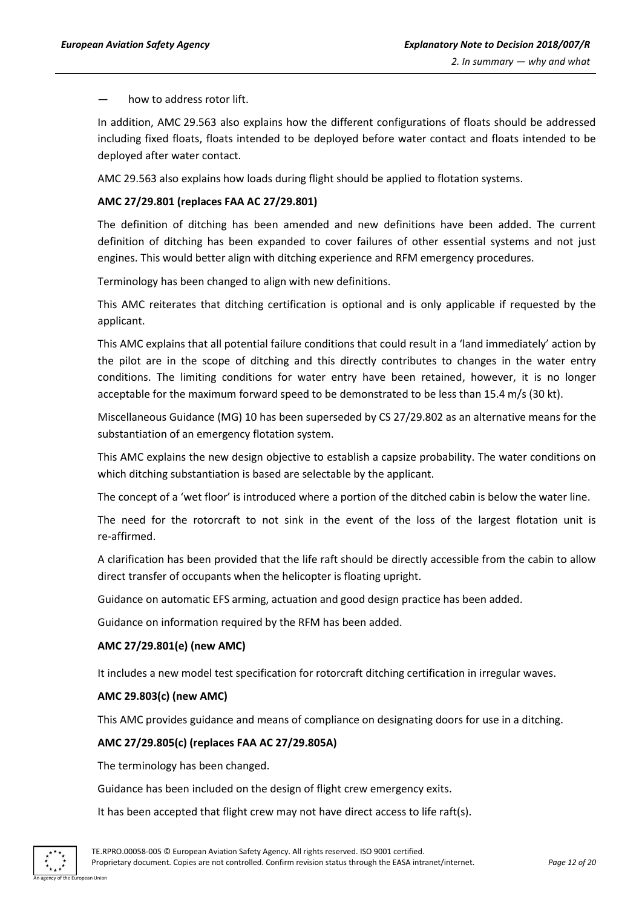how to address rotor lift.

In addition, AMC 29.563 also explains how the different configurations of floats should be addressed including fixed floats, floats intended to be deployed before water contact and floats intended to be deployed after water contact.

AMC 29.563 also explains how loads during flight should be applied to flotation systems.

#### **AMC 27/29.801 (replaces FAA AC 27/29.801)**

The definition of ditching has been amended and new definitions have been added. The current definition of ditching has been expanded to cover failures of other essential systems and not just engines. This would better align with ditching experience and RFM emergency procedures.

Terminology has been changed to align with new definitions.

This AMC reiterates that ditching certification is optional and is only applicable if requested by the applicant.

This AMC explains that all potential failure conditions that could result in a 'land immediately' action by the pilot are in the scope of ditching and this directly contributes to changes in the water entry conditions. The limiting conditions for water entry have been retained, however, it is no longer acceptable for the maximum forward speed to be demonstrated to be less than 15.4 m/s (30 kt).

Miscellaneous Guidance (MG) 10 has been superseded by CS 27/29.802 as an alternative means for the substantiation of an emergency flotation system.

This AMC explains the new design objective to establish a capsize probability. The water conditions on which ditching substantiation is based are selectable by the applicant.

The concept of a 'wet floor' is introduced where a portion of the ditched cabin is below the water line.

The need for the rotorcraft to not sink in the event of the loss of the largest flotation unit is re-affirmed.

A clarification has been provided that the life raft should be directly accessible from the cabin to allow direct transfer of occupants when the helicopter is floating upright.

Guidance on automatic EFS arming, actuation and good design practice has been added.

Guidance on information required by the RFM has been added.

#### **AMC 27/29.801(e) (new AMC)**

It includes a new model test specification for rotorcraft ditching certification in irregular waves.

#### **AMC 29.803(c) (new AMC)**

This AMC provides guidance and means of compliance on designating doors for use in a ditching.

#### **AMC 27/29.805(c) (replaces FAA AC 27/29.805A)**

The terminology has been changed.

Guidance has been included on the design of flight crew emergency exits.

It has been accepted that flight crew may not have direct access to life raft(s).

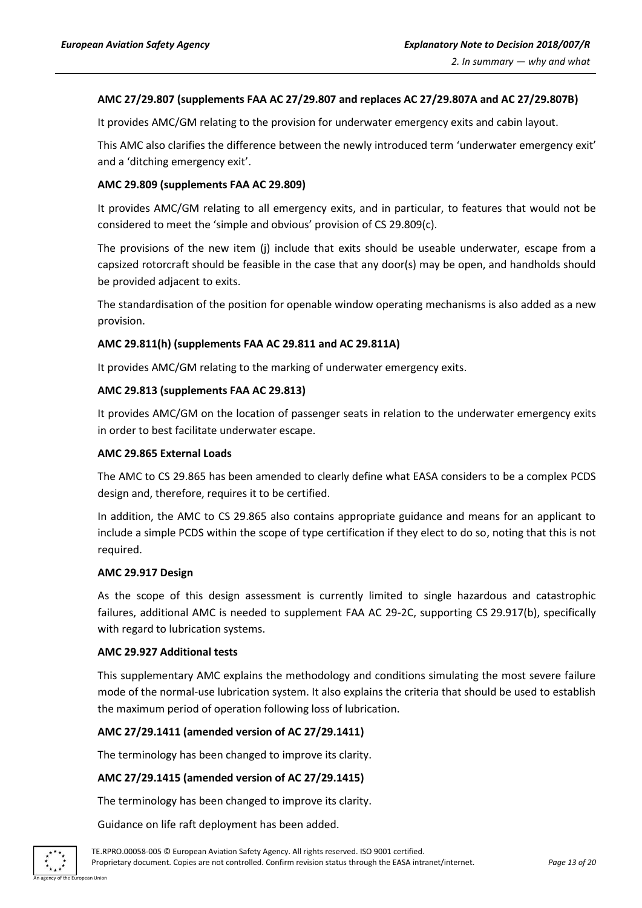#### **AMC 27/29.807 (supplements FAA AC 27/29.807 and replaces AC 27/29.807A and AC 27/29.807B)**

It provides AMC/GM relating to the provision for underwater emergency exits and cabin layout.

This AMC also clarifies the difference between the newly introduced term 'underwater emergency exit' and a 'ditching emergency exit'.

#### **AMC 29.809 (supplements FAA AC 29.809)**

It provides AMC/GM relating to all emergency exits, and in particular, to features that would not be considered to meet the 'simple and obvious' provision of CS 29.809(c).

The provisions of the new item (j) include that exits should be useable underwater, escape from a capsized rotorcraft should be feasible in the case that any door(s) may be open, and handholds should be provided adjacent to exits.

The standardisation of the position for openable window operating mechanisms is also added as a new provision.

#### **AMC 29.811(h) (supplements FAA AC 29.811 and AC 29.811A)**

It provides AMC/GM relating to the marking of underwater emergency exits.

#### **AMC 29.813 (supplements FAA AC 29.813)**

It provides AMC/GM on the location of passenger seats in relation to the underwater emergency exits in order to best facilitate underwater escape.

#### **AMC 29.865 External Loads**

The AMC to CS 29.865 has been amended to clearly define what EASA considers to be a complex PCDS design and, therefore, requires it to be certified.

In addition, the AMC to CS 29.865 also contains appropriate guidance and means for an applicant to include a simple PCDS within the scope of type certification if they elect to do so, noting that this is not required.

#### **AMC 29.917 Design**

As the scope of this design assessment is currently limited to single hazardous and catastrophic failures, additional AMC is needed to supplement FAA AC 29-2C, supporting CS 29.917(b), specifically with regard to lubrication systems.

#### **AMC 29.927 Additional tests**

This supplementary AMC explains the methodology and conditions simulating the most severe failure mode of the normal-use lubrication system. It also explains the criteria that should be used to establish the maximum period of operation following loss of lubrication.

#### **AMC 27/29.1411 (amended version of AC 27/29.1411)**

The terminology has been changed to improve its clarity.

#### **AMC 27/29.1415 (amended version of AC 27/29.1415)**

The terminology has been changed to improve its clarity.

Guidance on life raft deployment has been added.

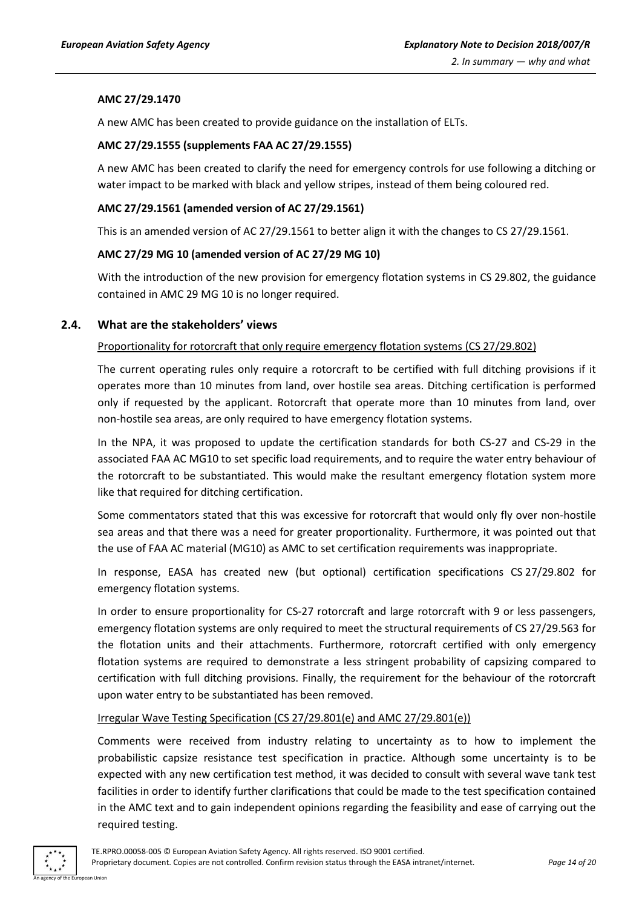#### **AMC 27/29.1470**

A new AMC has been created to provide guidance on the installation of ELTs.

#### **AMC 27/29.1555 (supplements FAA AC 27/29.1555)**

A new AMC has been created to clarify the need for emergency controls for use following a ditching or water impact to be marked with black and yellow stripes, instead of them being coloured red.

#### **AMC 27/29.1561 (amended version of AC 27/29.1561)**

This is an amended version of AC 27/29.1561 to better align it with the changes to CS 27/29.1561.

#### **AMC 27/29 MG 10 (amended version of AC 27/29 MG 10)**

With the introduction of the new provision for emergency flotation systems in CS 29.802, the guidance contained in AMC 29 MG 10 is no longer required.

### <span id="page-13-0"></span>**2.4. What are the stakeholders' views**

#### Proportionality for rotorcraft that only require emergency flotation systems (CS 27/29.802)

The current operating rules only require a rotorcraft to be certified with full ditching provisions if it operates more than 10 minutes from land, over hostile sea areas. Ditching certification is performed only if requested by the applicant. Rotorcraft that operate more than 10 minutes from land, over non-hostile sea areas, are only required to have emergency flotation systems.

In the NPA, it was proposed to update the certification standards for both CS-27 and CS-29 in the associated FAA AC MG10 to set specific load requirements, and to require the water entry behaviour of the rotorcraft to be substantiated. This would make the resultant emergency flotation system more like that required for ditching certification.

Some commentators stated that this was excessive for rotorcraft that would only fly over non-hostile sea areas and that there was a need for greater proportionality. Furthermore, it was pointed out that the use of FAA AC material (MG10) as AMC to set certification requirements was inappropriate.

In response, EASA has created new (but optional) certification specifications CS 27/29.802 for emergency flotation systems.

In order to ensure proportionality for CS-27 rotorcraft and large rotorcraft with 9 or less passengers, emergency flotation systems are only required to meet the structural requirements of CS 27/29.563 for the flotation units and their attachments. Furthermore, rotorcraft certified with only emergency flotation systems are required to demonstrate a less stringent probability of capsizing compared to certification with full ditching provisions. Finally, the requirement for the behaviour of the rotorcraft upon water entry to be substantiated has been removed.

#### Irregular Wave Testing Specification (CS 27/29.801(e) and AMC 27/29.801(e))

Comments were received from industry relating to uncertainty as to how to implement the probabilistic capsize resistance test specification in practice. Although some uncertainty is to be expected with any new certification test method, it was decided to consult with several wave tank test facilities in order to identify further clarifications that could be made to the test specification contained in the AMC text and to gain independent opinions regarding the feasibility and ease of carrying out the required testing.

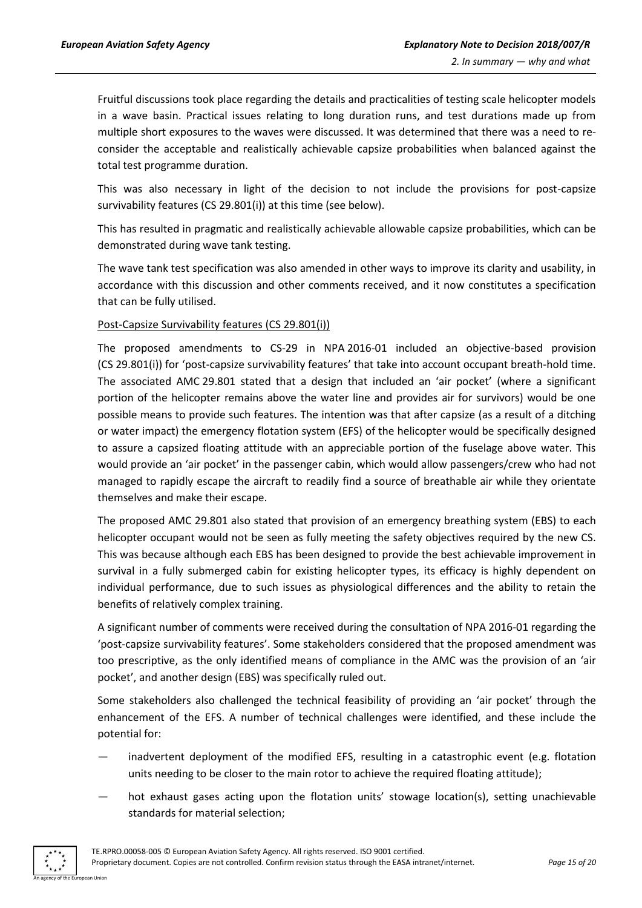Fruitful discussions took place regarding the details and practicalities of testing scale helicopter models in a wave basin. Practical issues relating to long duration runs, and test durations made up from multiple short exposures to the waves were discussed. It was determined that there was a need to reconsider the acceptable and realistically achievable capsize probabilities when balanced against the total test programme duration.

This was also necessary in light of the decision to not include the provisions for post-capsize survivability features (CS 29.801(i)) at this time (see below).

This has resulted in pragmatic and realistically achievable allowable capsize probabilities, which can be demonstrated during wave tank testing.

The wave tank test specification was also amended in other ways to improve its clarity and usability, in accordance with this discussion and other comments received, and it now constitutes a specification that can be fully utilised.

#### Post-Capsize Survivability features (CS 29.801(i))

The proposed amendments to CS-29 in NPA 2016-01 included an objective-based provision (CS 29.801(i)) for 'post-capsize survivability features' that take into account occupant breath-hold time. The associated AMC 29.801 stated that a design that included an 'air pocket' (where a significant portion of the helicopter remains above the water line and provides air for survivors) would be one possible means to provide such features. The intention was that after capsize (as a result of a ditching or water impact) the emergency flotation system (EFS) of the helicopter would be specifically designed to assure a capsized floating attitude with an appreciable portion of the fuselage above water. This would provide an 'air pocket' in the passenger cabin, which would allow passengers/crew who had not managed to rapidly escape the aircraft to readily find a source of breathable air while they orientate themselves and make their escape.

The proposed AMC 29.801 also stated that provision of an emergency breathing system (EBS) to each helicopter occupant would not be seen as fully meeting the safety objectives required by the new CS. This was because although each EBS has been designed to provide the best achievable improvement in survival in a fully submerged cabin for existing helicopter types, its efficacy is highly dependent on individual performance, due to such issues as physiological differences and the ability to retain the benefits of relatively complex training.

A significant number of comments were received during the consultation of NPA 2016-01 regarding the 'post-capsize survivability features'. Some stakeholders considered that the proposed amendment was too prescriptive, as the only identified means of compliance in the AMC was the provision of an 'air pocket', and another design (EBS) was specifically ruled out.

Some stakeholders also challenged the technical feasibility of providing an 'air pocket' through the enhancement of the EFS. A number of technical challenges were identified, and these include the potential for:

- inadvertent deployment of the modified EFS, resulting in a catastrophic event (e.g. flotation units needing to be closer to the main rotor to achieve the required floating attitude);
- hot exhaust gases acting upon the flotation units' stowage location(s), setting unachievable standards for material selection;

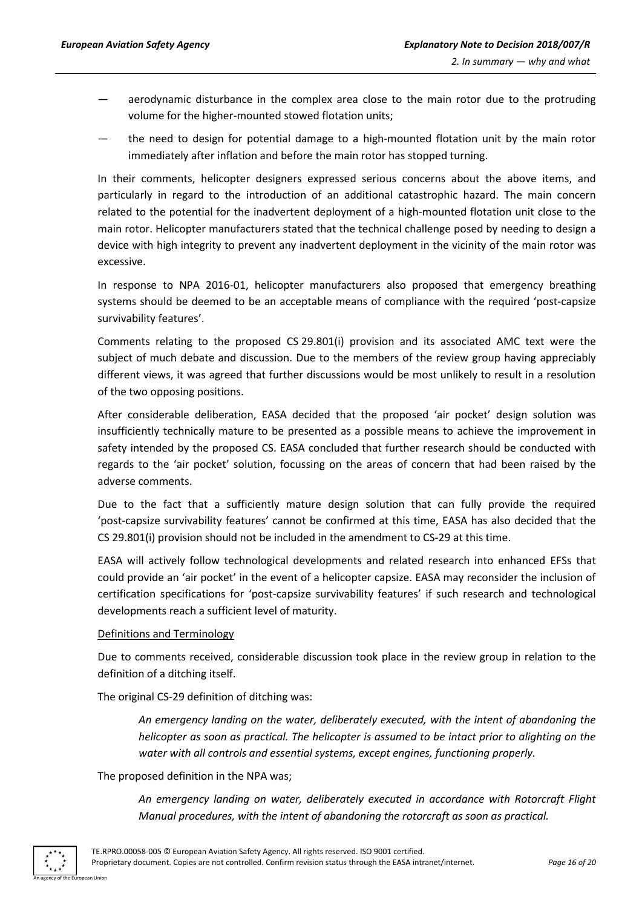- aerodynamic disturbance in the complex area close to the main rotor due to the protruding volume for the higher-mounted stowed flotation units;
- the need to design for potential damage to a high-mounted flotation unit by the main rotor immediately after inflation and before the main rotor has stopped turning.

In their comments, helicopter designers expressed serious concerns about the above items, and particularly in regard to the introduction of an additional catastrophic hazard. The main concern related to the potential for the inadvertent deployment of a high-mounted flotation unit close to the main rotor. Helicopter manufacturers stated that the technical challenge posed by needing to design a device with high integrity to prevent any inadvertent deployment in the vicinity of the main rotor was excessive.

In response to NPA 2016-01, helicopter manufacturers also proposed that emergency breathing systems should be deemed to be an acceptable means of compliance with the required 'post-capsize survivability features'.

Comments relating to the proposed CS 29.801(i) provision and its associated AMC text were the subject of much debate and discussion. Due to the members of the review group having appreciably different views, it was agreed that further discussions would be most unlikely to result in a resolution of the two opposing positions.

After considerable deliberation, EASA decided that the proposed 'air pocket' design solution was insufficiently technically mature to be presented as a possible means to achieve the improvement in safety intended by the proposed CS. EASA concluded that further research should be conducted with regards to the 'air pocket' solution, focussing on the areas of concern that had been raised by the adverse comments.

Due to the fact that a sufficiently mature design solution that can fully provide the required 'post-capsize survivability features' cannot be confirmed at this time, EASA has also decided that the CS 29.801(i) provision should not be included in the amendment to CS-29 at this time.

EASA will actively follow technological developments and related research into enhanced EFSs that could provide an 'air pocket' in the event of a helicopter capsize. EASA may reconsider the inclusion of certification specifications for 'post-capsize survivability features' if such research and technological developments reach a sufficient level of maturity.

#### Definitions and Terminology

Due to comments received, considerable discussion took place in the review group in relation to the definition of a ditching itself.

The original CS-29 definition of ditching was:

*An emergency landing on the water, deliberately executed, with the intent of abandoning the helicopter as soon as practical. The helicopter is assumed to be intact prior to alighting on the water with all controls and essential systems, except engines, functioning properly.*

The proposed definition in the NPA was;

*An emergency landing on water, deliberately executed in accordance with Rotorcraft Flight Manual procedures, with the intent of abandoning the rotorcraft as soon as practical.*

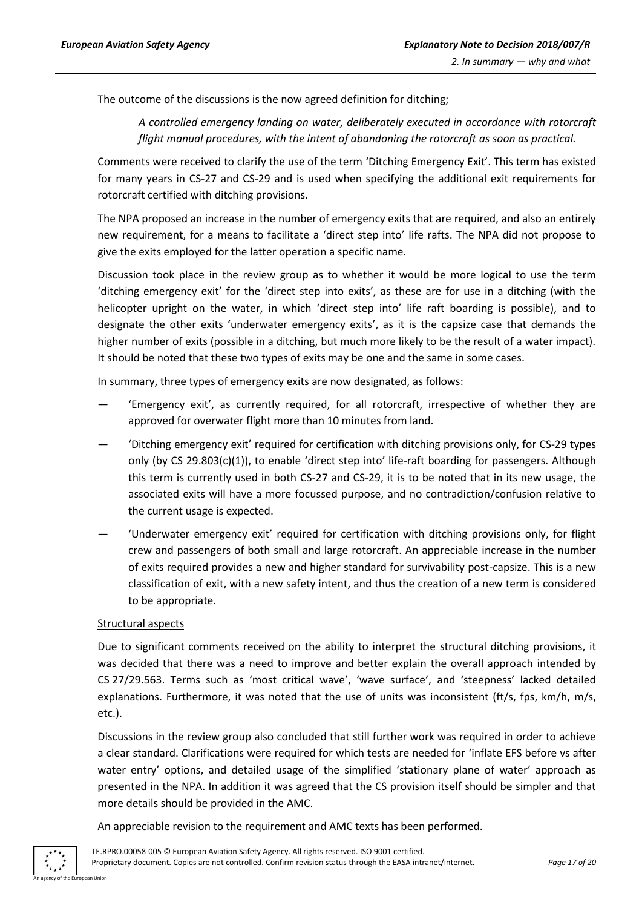The outcome of the discussions is the now agreed definition for ditching;

*A controlled emergency landing on water, deliberately executed in accordance with rotorcraft flight manual procedures, with the intent of abandoning the rotorcraft as soon as practical.*

Comments were received to clarify the use of the term 'Ditching Emergency Exit'. This term has existed for many years in CS-27 and CS-29 and is used when specifying the additional exit requirements for rotorcraft certified with ditching provisions.

The NPA proposed an increase in the number of emergency exits that are required, and also an entirely new requirement, for a means to facilitate a 'direct step into' life rafts. The NPA did not propose to give the exits employed for the latter operation a specific name.

Discussion took place in the review group as to whether it would be more logical to use the term 'ditching emergency exit' for the 'direct step into exits', as these are for use in a ditching (with the helicopter upright on the water, in which 'direct step into' life raft boarding is possible), and to designate the other exits 'underwater emergency exits', as it is the capsize case that demands the higher number of exits (possible in a ditching, but much more likely to be the result of a water impact). It should be noted that these two types of exits may be one and the same in some cases.

In summary, three types of emergency exits are now designated, as follows:

- 'Emergency exit', as currently required, for all rotorcraft, irrespective of whether they are approved for overwater flight more than 10 minutes from land.
- 'Ditching emergency exit' required for certification with ditching provisions only, for CS-29 types only (by CS 29.803(c)(1)), to enable 'direct step into' life-raft boarding for passengers. Although this term is currently used in both CS-27 and CS-29, it is to be noted that in its new usage, the associated exits will have a more focussed purpose, and no contradiction/confusion relative to the current usage is expected.
- 'Underwater emergency exit' required for certification with ditching provisions only, for flight crew and passengers of both small and large rotorcraft. An appreciable increase in the number of exits required provides a new and higher standard for survivability post-capsize. This is a new classification of exit, with a new safety intent, and thus the creation of a new term is considered to be appropriate.

#### Structural aspects

Due to significant comments received on the ability to interpret the structural ditching provisions, it was decided that there was a need to improve and better explain the overall approach intended by CS 27/29.563. Terms such as 'most critical wave', 'wave surface', and 'steepness' lacked detailed explanations. Furthermore, it was noted that the use of units was inconsistent (ft/s, fps, km/h, m/s, etc.).

Discussions in the review group also concluded that still further work was required in order to achieve a clear standard. Clarifications were required for which tests are needed for 'inflate EFS before vs after water entry' options, and detailed usage of the simplified 'stationary plane of water' approach as presented in the NPA. In addition it was agreed that the CS provision itself should be simpler and that more details should be provided in the AMC.

An appreciable revision to the requirement and AMC texts has been performed.

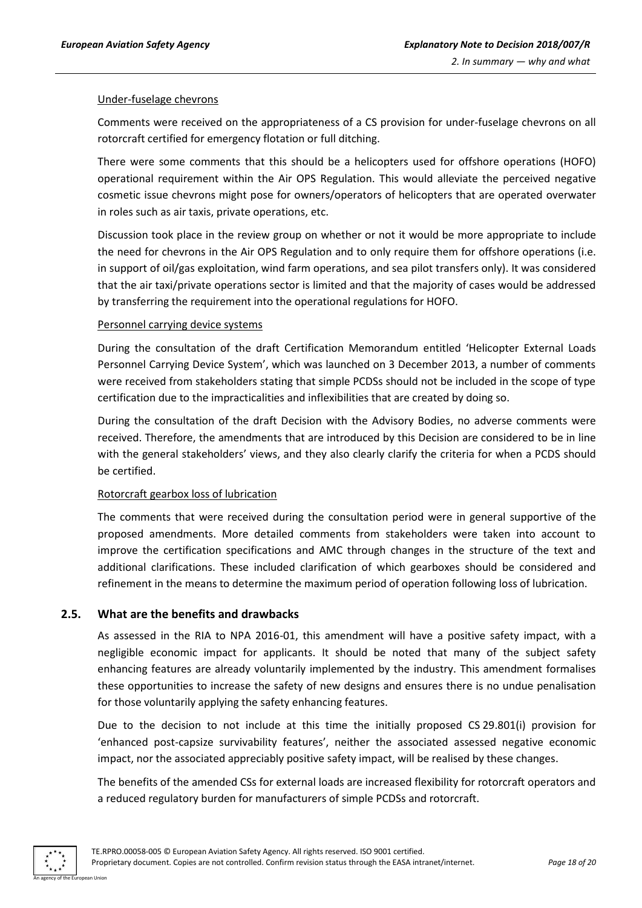#### Under-fuselage chevrons

Comments were received on the appropriateness of a CS provision for under-fuselage chevrons on all rotorcraft certified for emergency flotation or full ditching.

There were some comments that this should be a helicopters used for offshore operations (HOFO) operational requirement within the Air OPS Regulation. This would alleviate the perceived negative cosmetic issue chevrons might pose for owners/operators of helicopters that are operated overwater in roles such as air taxis, private operations, etc.

Discussion took place in the review group on whether or not it would be more appropriate to include the need for chevrons in the Air OPS Regulation and to only require them for offshore operations (i.e. in support of oil/gas exploitation, wind farm operations, and sea pilot transfers only). It was considered that the air taxi/private operations sector is limited and that the majority of cases would be addressed by transferring the requirement into the operational regulations for HOFO.

#### Personnel carrying device systems

During the consultation of the draft Certification Memorandum entitled 'Helicopter External Loads Personnel Carrying Device System', which was launched on 3 December 2013, a number of comments were received from stakeholders stating that simple PCDSs should not be included in the scope of type certification due to the impracticalities and inflexibilities that are created by doing so.

During the consultation of the draft Decision with the Advisory Bodies, no adverse comments were received. Therefore, the amendments that are introduced by this Decision are considered to be in line with the general stakeholders' views, and they also clearly clarify the criteria for when a PCDS should be certified.

#### Rotorcraft gearbox loss of lubrication

The comments that were received during the consultation period were in general supportive of the proposed amendments. More detailed comments from stakeholders were taken into account to improve the certification specifications and AMC through changes in the structure of the text and additional clarifications. These included clarification of which gearboxes should be considered and refinement in the means to determine the maximum period of operation following loss of lubrication.

## <span id="page-17-0"></span>**2.5. What are the benefits and drawbacks**

As assessed in the RIA to NPA 2016-01, this amendment will have a positive safety impact, with a negligible economic impact for applicants. It should be noted that many of the subject safety enhancing features are already voluntarily implemented by the industry. This amendment formalises these opportunities to increase the safety of new designs and ensures there is no undue penalisation for those voluntarily applying the safety enhancing features.

Due to the decision to not include at this time the initially proposed CS 29.801(i) provision for 'enhanced post-capsize survivability features', neither the associated assessed negative economic impact, nor the associated appreciably positive safety impact, will be realised by these changes.

The benefits of the amended CSs for external loads are increased flexibility for rotorcraft operators and a reduced regulatory burden for manufacturers of simple PCDSs and rotorcraft.

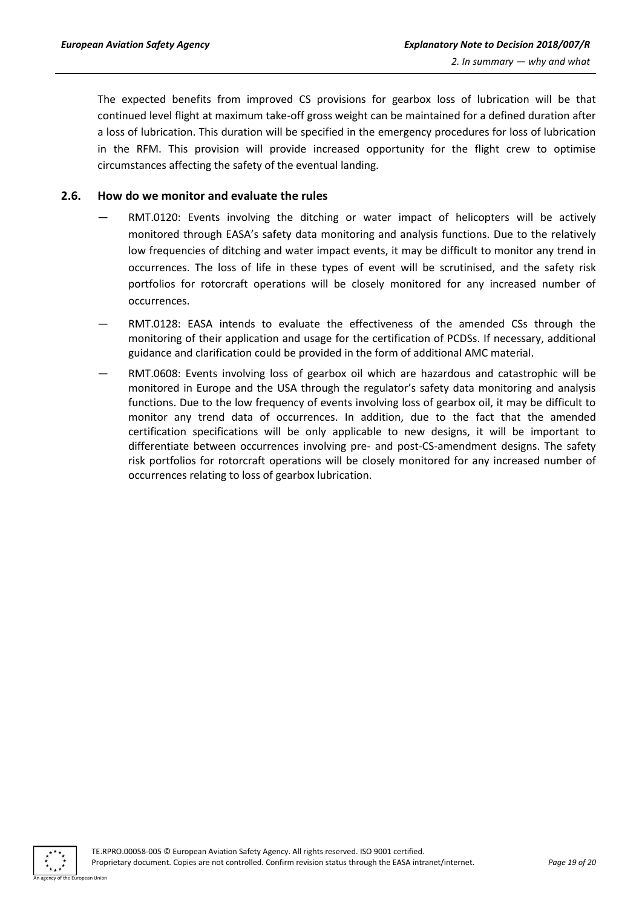The expected benefits from improved CS provisions for gearbox loss of lubrication will be that continued level flight at maximum take-off gross weight can be maintained for a defined duration after a loss of lubrication. This duration will be specified in the emergency procedures for loss of lubrication in the RFM. This provision will provide increased opportunity for the flight crew to optimise circumstances affecting the safety of the eventual landing.

## <span id="page-18-0"></span>**2.6. How do we monitor and evaluate the rules**

- RMT.0120: Events involving the ditching or water impact of helicopters will be actively monitored through EASA's safety data monitoring and analysis functions. Due to the relatively low frequencies of ditching and water impact events, it may be difficult to monitor any trend in occurrences. The loss of life in these types of event will be scrutinised, and the safety risk portfolios for rotorcraft operations will be closely monitored for any increased number of occurrences.
- RMT.0128: EASA intends to evaluate the effectiveness of the amended CSs through the monitoring of their application and usage for the certification of PCDSs. If necessary, additional guidance and clarification could be provided in the form of additional AMC material.
- RMT.0608: Events involving loss of gearbox oil which are hazardous and catastrophic will be monitored in Europe and the USA through the regulator's safety data monitoring and analysis functions. Due to the low frequency of events involving loss of gearbox oil, it may be difficult to monitor any trend data of occurrences. In addition, due to the fact that the amended certification specifications will be only applicable to new designs, it will be important to differentiate between occurrences involving pre- and post-CS-amendment designs. The safety risk portfolios for rotorcraft operations will be closely monitored for any increased number of occurrences relating to loss of gearbox lubrication.